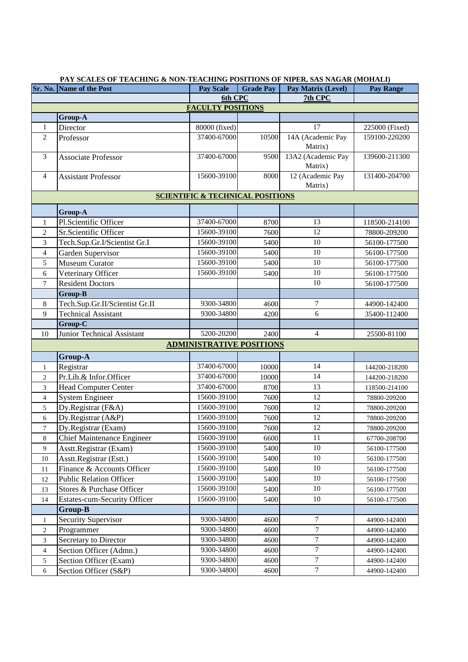| PAY SCALES OF TEACHING & NON-TEACHING POSITIONS OF NIPER, SAS NAGAR (MOHALI) |                                                   |                                 |                  |                               |                              |  |  |  |  |  |
|------------------------------------------------------------------------------|---------------------------------------------------|---------------------------------|------------------|-------------------------------|------------------------------|--|--|--|--|--|
|                                                                              | Sr. No. Name of the Post                          | <b>Pay Scale</b>                | <b>Grade Pay</b> | Pay Matrix (Level)            | <b>Pay Range</b>             |  |  |  |  |  |
|                                                                              |                                                   | 6th CPC                         |                  | 7th CPC                       |                              |  |  |  |  |  |
| <b>FACULTY POSITIONS</b>                                                     |                                                   |                                 |                  |                               |                              |  |  |  |  |  |
|                                                                              | Group-A                                           |                                 |                  |                               |                              |  |  |  |  |  |
| 1                                                                            | Director                                          | 80000 (fixed)                   |                  | 17                            | 225000 (Fixed)               |  |  |  |  |  |
| $\overline{2}$                                                               | Professor                                         | 37400-67000                     | 10500            | 14A (Academic Pay<br>Matrix)  | 159100-220200                |  |  |  |  |  |
| 3                                                                            | <b>Associate Professor</b>                        | 37400-67000                     | 9500             | 13A2 (Academic Pay<br>Matrix) | 139600-211300                |  |  |  |  |  |
| $\overline{4}$                                                               | <b>Assistant Professor</b>                        | 15600-39100                     | 8000             | 12 (Academic Pay<br>Matrix)   | 131400-204700                |  |  |  |  |  |
| <b>SCIENTIFIC &amp; TECHNICAL POSITIONS</b>                                  |                                                   |                                 |                  |                               |                              |  |  |  |  |  |
|                                                                              |                                                   |                                 |                  |                               |                              |  |  |  |  |  |
|                                                                              | Group-A<br>Pl.Scientific Officer                  | 37400-67000                     |                  | 13                            |                              |  |  |  |  |  |
| 1                                                                            |                                                   | 15600-39100                     | 8700             | 12                            | 118500-214100                |  |  |  |  |  |
| $\mathfrak{2}$                                                               | Sr.Scientific Officer                             | 15600-39100                     | 7600             | 10                            | 78800-209200                 |  |  |  |  |  |
| 3<br>$\overline{4}$                                                          | Tech.Sup.Gr.I/Scientist Gr.I<br>Garden Supervisor | 15600-39100                     | 5400<br>5400     | 10                            | 56100-177500<br>56100-177500 |  |  |  |  |  |
| 5                                                                            | <b>Museum Curator</b>                             | 15600-39100                     | 5400             | 10                            | 56100-177500                 |  |  |  |  |  |
|                                                                              | Veterinary Officer                                | 15600-39100                     |                  | 10                            | 56100-177500                 |  |  |  |  |  |
| 6<br>$\boldsymbol{7}$                                                        | <b>Resident Doctors</b>                           |                                 | 5400             | 10                            | 56100-177500                 |  |  |  |  |  |
|                                                                              | <b>Group-B</b>                                    |                                 |                  |                               |                              |  |  |  |  |  |
| $\,8\,$                                                                      | Tech.Sup.Gr.II/Scientist Gr.II                    | 9300-34800                      |                  | $\boldsymbol{7}$              |                              |  |  |  |  |  |
| 9                                                                            | <b>Technical Assistant</b>                        | 9300-34800                      | 4600<br>4200     | 6                             | 44900-142400                 |  |  |  |  |  |
|                                                                              | Group-C                                           |                                 |                  |                               | 35400-112400                 |  |  |  |  |  |
| 10                                                                           | <b>Junior Technical Assistant</b>                 | 5200-20200                      | 2400             | $\overline{4}$                | 25500-81100                  |  |  |  |  |  |
|                                                                              |                                                   | <b>ADMINISTRATIVE POSITIONS</b> |                  |                               |                              |  |  |  |  |  |
|                                                                              |                                                   |                                 |                  |                               |                              |  |  |  |  |  |
|                                                                              | Group-A<br>Registrar                              | 37400-67000                     | 10000            | 14                            | 144200-218200                |  |  |  |  |  |
| 1<br>$\mathfrak{2}$                                                          | Pr.Lib.& Infor.Officer                            | 37400-67000                     | 10000            | 14                            | 144200-218200                |  |  |  |  |  |
| 3                                                                            | <b>Head Computer Center</b>                       | 37400-67000                     | 8700             | 13                            | 118500-214100                |  |  |  |  |  |
| $\overline{4}$                                                               | <b>System Engineer</b>                            | 15600-39100                     | 7600             | 12                            | 78800-209200                 |  |  |  |  |  |
| 5                                                                            | Dy.Registrar (F&A)                                | 15600-39100                     | 7600             | 12                            | 78800-209200                 |  |  |  |  |  |
| 6                                                                            | Dy.Registrar (A&P)                                | 15600-39100                     | 7600             | 12                            | 78800-209200                 |  |  |  |  |  |
|                                                                              | Dy.Registrar (Exam)                               | 15600-39100                     | 7600             | 12                            |                              |  |  |  |  |  |
| 7<br>8                                                                       | <b>Chief Maintenance Engineer</b>                 | 15600-39100                     | 6600             | 11                            | 78800-209200<br>67700-208700 |  |  |  |  |  |
| $\boldsymbol{9}$                                                             | Asstt.Registrar (Exam)                            | 15600-39100                     | 5400             | 10                            | 56100-177500                 |  |  |  |  |  |
| 10                                                                           | Asstt.Registrar (Estt.)                           | 15600-39100                     | 5400             | 10                            | 56100-177500                 |  |  |  |  |  |
| 11                                                                           | Finance & Accounts Officer                        | 15600-39100                     | 5400             | 10                            | 56100-177500                 |  |  |  |  |  |
| 12                                                                           | <b>Public Relation Officer</b>                    | 15600-39100                     | 5400             | 10                            | 56100-177500                 |  |  |  |  |  |
| 13                                                                           | Stores & Purchase Officer                         | 15600-39100                     | 5400             | 10                            | 56100-177500                 |  |  |  |  |  |
| 14                                                                           | <b>Estates-cum-Security Officer</b>               | 15600-39100                     | 5400             | 10                            | 56100-177500                 |  |  |  |  |  |
|                                                                              | <b>Group-B</b>                                    |                                 |                  |                               |                              |  |  |  |  |  |
| $\mathbf{1}$                                                                 | Security Supervisor                               | 9300-34800                      | 4600             | 7                             | 44900-142400                 |  |  |  |  |  |
| $\overline{c}$                                                               | Programmer                                        | 9300-34800                      | 4600             | $\tau$                        | 44900-142400                 |  |  |  |  |  |
| 3                                                                            | Secretary to Director                             | 9300-34800                      | 4600             | $\overline{7}$                | 44900-142400                 |  |  |  |  |  |
| $\overline{4}$                                                               | Section Officer (Admn.)                           | 9300-34800                      | 4600             | $\overline{7}$                | 44900-142400                 |  |  |  |  |  |
| 5                                                                            | Section Officer (Exam)                            | 9300-34800                      | 4600             | $\boldsymbol{7}$              | 44900-142400                 |  |  |  |  |  |
| 6                                                                            | Section Officer (S&P)                             | 9300-34800                      | 4600             | $\boldsymbol{7}$              | 44900-142400                 |  |  |  |  |  |